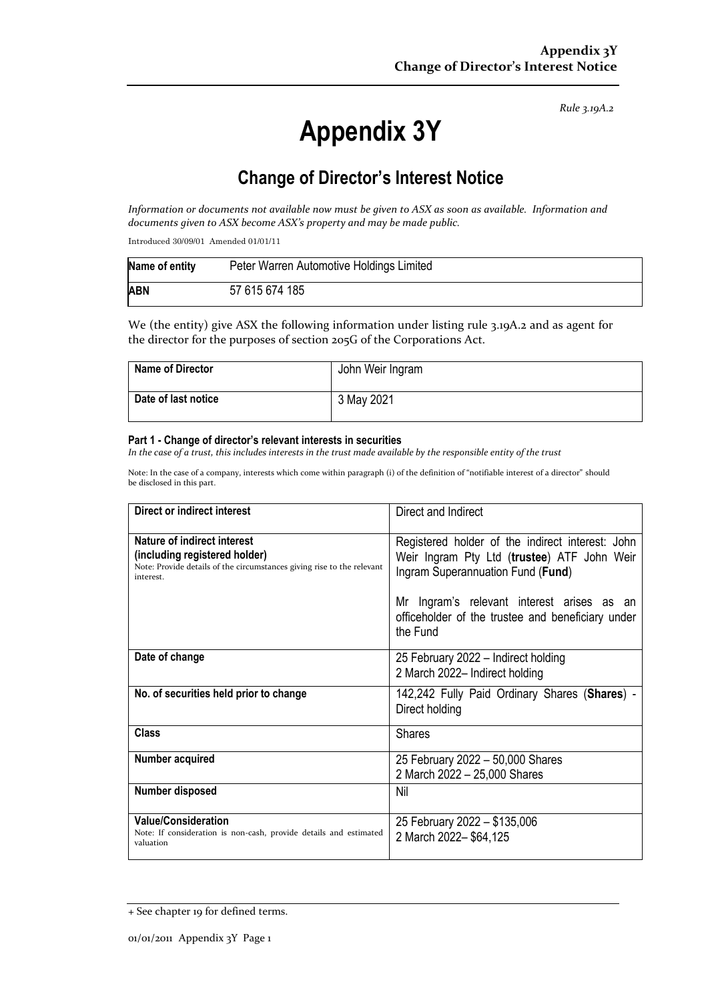*Rule 3.19A.2*

# **Appendix 3Y**

# **Change of Director's Interest Notice**

*Information or documents not available now must be given to ASX as soon as available. Information and documents given to ASX become ASX's property and may be made public.*

Introduced 30/09/01 Amended 01/01/11

| Name of entity | Peter Warren Automotive Holdings Limited |
|----------------|------------------------------------------|
| <b>ABN</b>     | 57 615 674 185                           |

We (the entity) give ASX the following information under listing rule 3.19A.2 and as agent for the director for the purposes of section 205G of the Corporations Act.

| Name of Director    | John Weir Ingram |
|---------------------|------------------|
| Date of last notice | 3 May 2021       |

#### **Part 1 - Change of director's relevant interests in securities**

*In the case of a trust, this includes interests in the trust made available by the responsible entity of the trust*

Note: In the case of a company, interests which come within paragraph (i) of the definition of "notifiable interest of a director" should be disclosed in this part.

| Direct or indirect interest                                                                                                                         | Direct and Indirect                                                                                                                  |  |
|-----------------------------------------------------------------------------------------------------------------------------------------------------|--------------------------------------------------------------------------------------------------------------------------------------|--|
| Nature of indirect interest<br>(including registered holder)<br>Note: Provide details of the circumstances giving rise to the relevant<br>interest. | Registered holder of the indirect interest: John<br>Weir Ingram Pty Ltd (trustee) ATF John Weir<br>Ingram Superannuation Fund (Fund) |  |
|                                                                                                                                                     | Mr Ingram's relevant interest arises as an<br>officeholder of the trustee and beneficiary under<br>the Fund                          |  |
| Date of change                                                                                                                                      | 25 February 2022 – Indirect holding<br>2 March 2022- Indirect holding                                                                |  |
| No. of securities held prior to change                                                                                                              | 142,242 Fully Paid Ordinary Shares (Shares) -<br>Direct holding                                                                      |  |
| Class                                                                                                                                               | <b>Shares</b>                                                                                                                        |  |
| Number acquired                                                                                                                                     | 25 February 2022 - 50,000 Shares<br>2 March 2022 - 25,000 Shares                                                                     |  |
| Number disposed                                                                                                                                     | Nil                                                                                                                                  |  |
| <b>Value/Consideration</b><br>Note: If consideration is non-cash, provide details and estimated<br>valuation                                        | 25 February 2022 - \$135,006<br>2 March 2022-\$64,125                                                                                |  |

<sup>+</sup> See chapter 19 for defined terms.